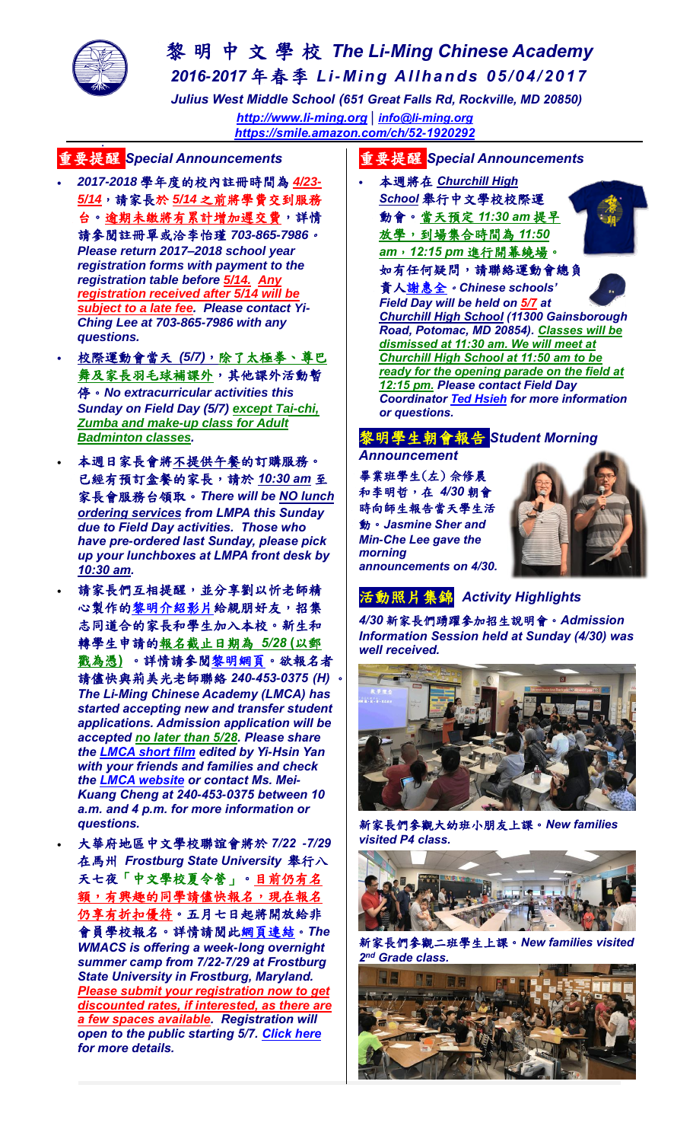

# 黎 明 中 文 學 校 *The Li-Ming Chinese Academy 2016-2017* 年春季 *Li- Mi n g Al l h a n d s 05/ 04/ 20 1 7*

 *Julius West Middle School (651 Great Falls Rd, Rockville, MD 20850) [http://www.li-ming.org](http://www.li-ming.org/)* **|** *[info@li-ming.org](mailto:info@li-ming.org) <https://smile.amazon.com/ch/52-1920292>*

#### . 重要提醒 *Special Announcements*

- *2017-2018* 學年度的校內註冊時間為 *4/23- 5/14*,請家長於 *5/14* 之前將學費交到服務 台。逾期未繳將有累計增加遲交費,詳情 請參閱註冊單或洽李怡瑾 *703-865-7986*。 *Please return 2017–2018 school year registration forms with payment to the registration table before 5/14. Any registration received after 5/14 will be subject to a late fee. Please contact Yi-Ching Lee at 703-865-7986 with any questions.*
- 校際運動會當天 *(5/7)*,除了太極拳、尊巴 舞及家長羽毛球補課外,其他課外活動暫 停。*No extracurricular activities this Sunday on Field Day (5/7) except Tai-chi, Zumba and make-up class for Adult Badminton classes.*
- 本週日家長會將不提供午餐的訂購服務。 已經有預訂盒餐的家長,請於 *10:30 am* 至 家長會服務台領取。*There will be NO lunch ordering services from LMPA this Sunday due to Field Day activities. Those who have pre-ordered last Sunday, please pick up your lunchboxes at LMPA front desk by 10:30 am.*
	- 請家長們互相提醒,並分享劉以忻老師精 心製作[的黎明介紹影片給](https://youtu.be/3WHH8Jw-N98)親朋好友,招集 志同道合的家長和學生加入本校。新生和 轉學生申請的報名截止日期為 *5/28* **(**以郵 戳為憑**)** 。詳情請參[閱黎明網頁。](http://li-ming.org/admission/open-house/)欲報名者 請儘快與荊美光老師聯絡 *240-453-0375 (H)* 。 *The Li-Ming Chinese Academy (LMCA) has started accepting new and transfer student applications. Admission application will be accepted no later than 5/28. Please share the [LMCA short film](https://youtu.be/R43r3XbGoJE) edited by Yi-Hsin Yan with your friends and families and check the [LMCA website](http://li-ming.org/en/admission/open-house/) or contact Ms. Mei-Kuang Cheng at 240-453-0375 between 10 a.m. and 4 p.m. for more information or questions.*

 大華府地區中文學校聯誼會將於 *7/22 -7/29*  在馬州 *Frostburg State University* 舉行八 天七夜「中文學校夏令營」。目前仍有名 額,有興趣的同學請儘快報名,現在報名 仍享有折扣優待。五月七日起將開放給非 會員學校報名。詳情請閱[此網頁連結](http://www.wmacscamp.org/)。*The WMACS is offering a week-long overnight summer camp from 7/22-7/29 at Frostburg State University in Frostburg, Maryland. Please submit your registration now to get discounted rates, if interested, as there are a few spaces available. Registration will open to the public starting 5/7. [Click here](http://www.wmacscamp.org/) for more details.*

### 重要提醒 *Special Announcements*

 本週將在 *Churchill High School* 舉行中文學校校際運 動會。當天預定 *11:30 am* 提早 放學,到場集合時間為 *11:50*

*am*,*12:15 pm* 進行開幕繞場。



如有任何疑問,請聯絡運動會總負 責[人謝惠全](mailto:ichimax@gmail.com)。*Chinese schools' Field Day will be held on 5/7 at Churchill High School (11300 Gainsborough Road, Potomac, MD 20854). Classes will be dismissed at 11:30 am. We will meet at Churchill High School at 11:50 am to be ready for the opening parade on the field at 12:15 pm. Please contact Field Day Coordinator [Ted Hsieh](mailto:ichimax@gmail.com) for more information or questions.*

### 黎明學生朝會報告 *Student Morning*

#### *Announcement*

畢業班學生(左) 佘修晨 和李明哲,在 *4/30* 朝會 時向師生報告當天學生活 動。*Jasmine Sher and Min-Che Lee gave the morning announcements on 4/30.*



## 活動照片集錦 *Activity Highlights*

*4/30* 新家長們踴躍參加招生說明會。*Admission Information Session held at Sunday (4/30) was well received.*



新家長們參觀大幼班小朋友上課。*New families visited P4 class.*



新家長們參觀二班學生上課。*New families visited 2 nd Grade class.*